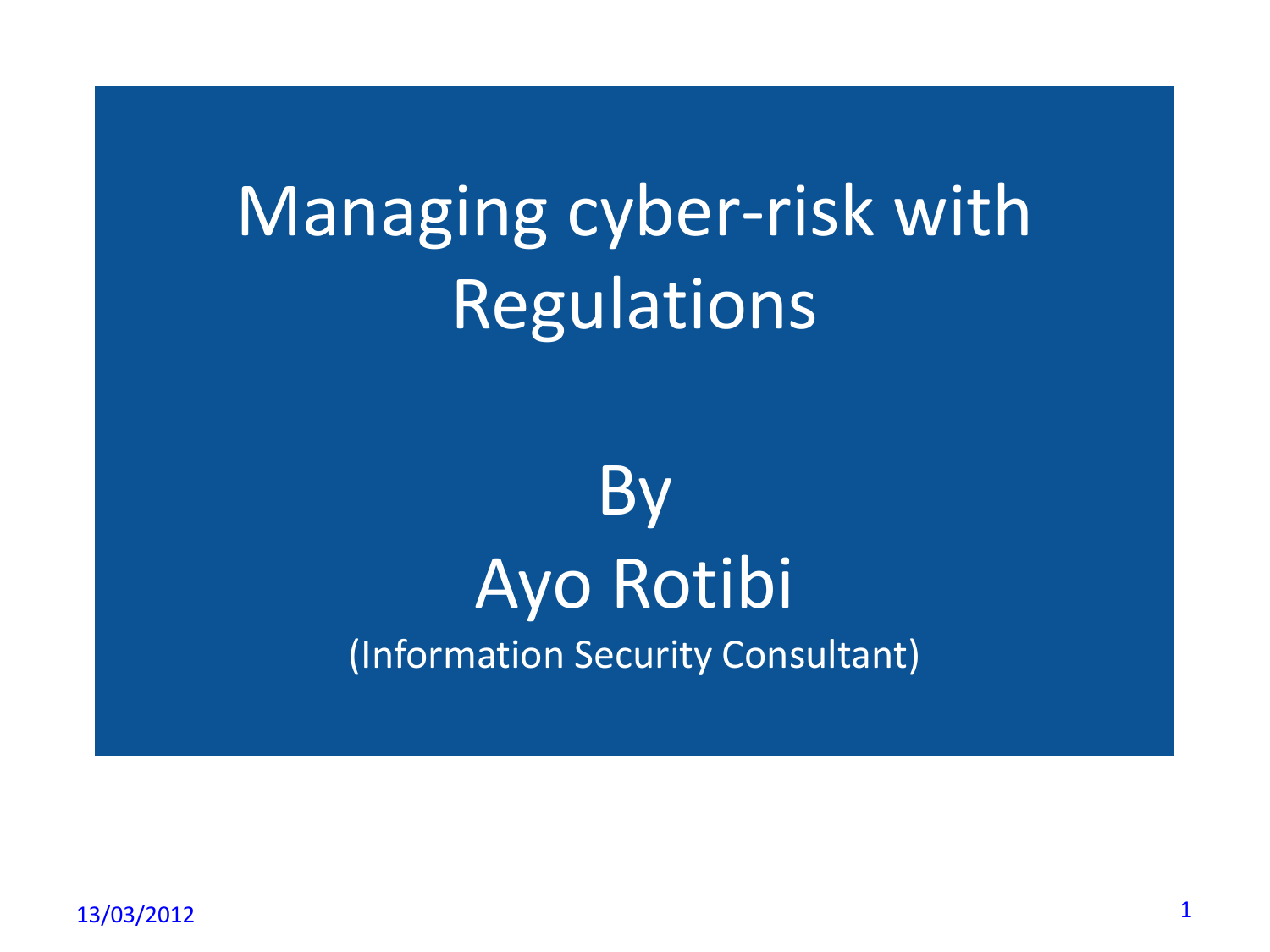Managing cyber-risk with **Regulations** 

# By Ayo Rotibi (Information Security Consultant)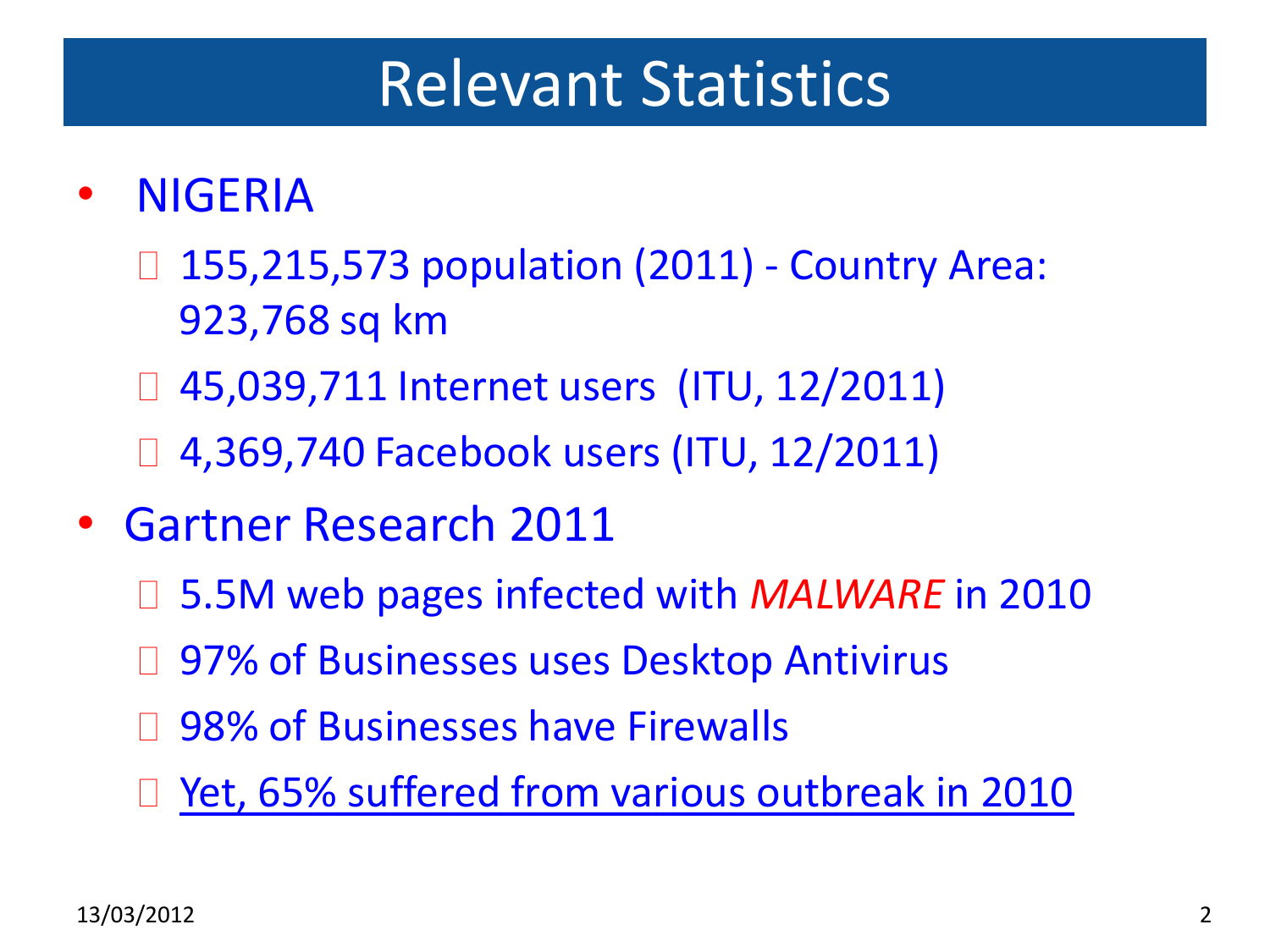#### Relevant Statistics

#### • NIGERIA

- □ 155,215,573 population (2011) Country Area: 923,768 sq km
- 45,039,711 Internet users (ITU, 12/2011)
- □ 4,369,740 Facebook users (ITU, 12/2011)
- Gartner Research 2011
	- □ 5.5M web pages infected with *MALWARE* in 2010
	- □ 97% of Businesses uses Desktop Antivirus
	- □ 98% of Businesses have Firewalls
	- Yet, 65% suffered from various outbreak in 2010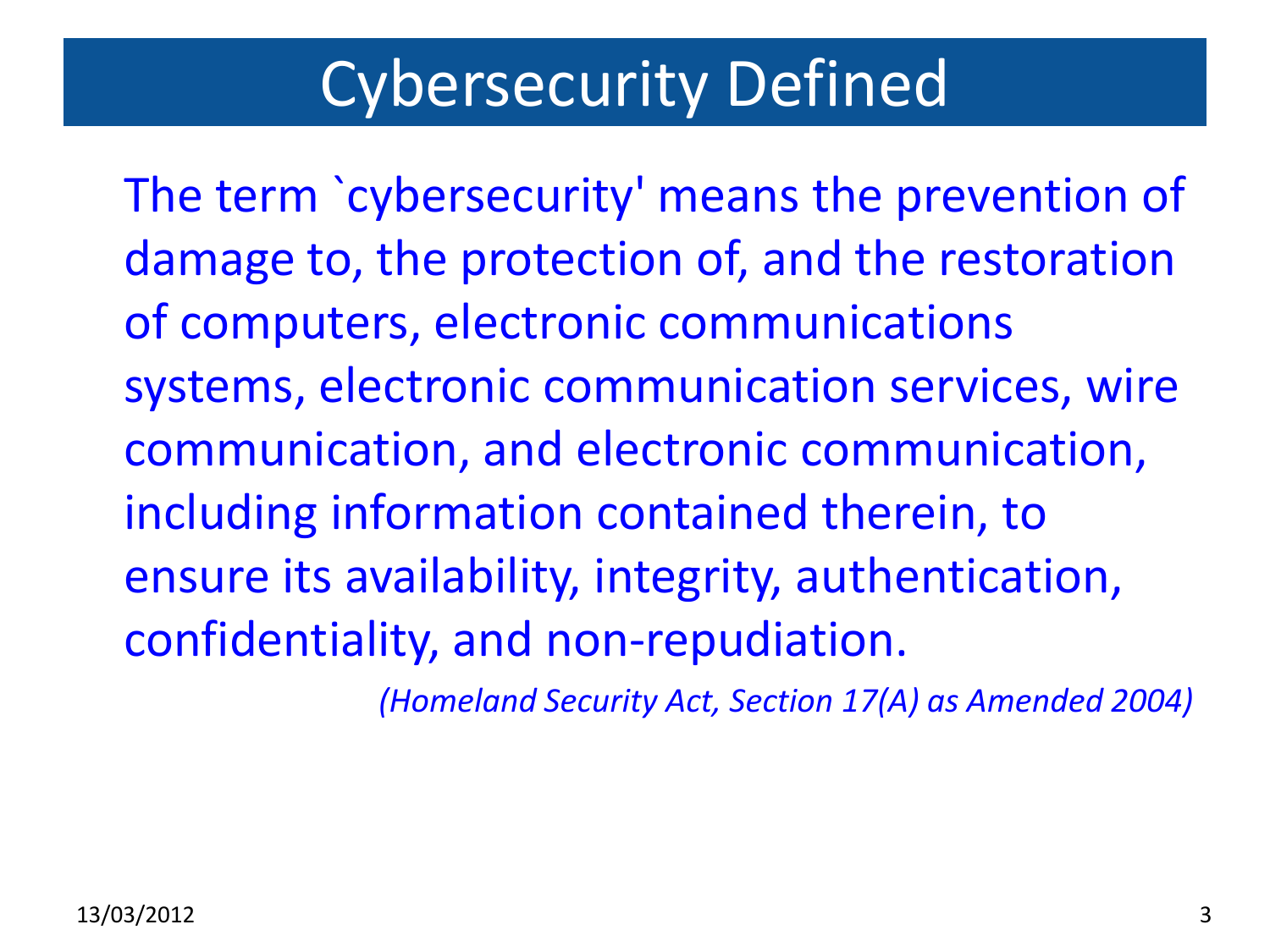### Cybersecurity Defined

The term `cybersecurity' means the prevention of damage to, the protection of, and the restoration of computers, electronic communications systems, electronic communication services, wire communication, and electronic communication, including information contained therein, to ensure its availability, integrity, authentication, confidentiality, and non-repudiation.

*(Homeland Security Act, Section 17(A) as Amended 2004)*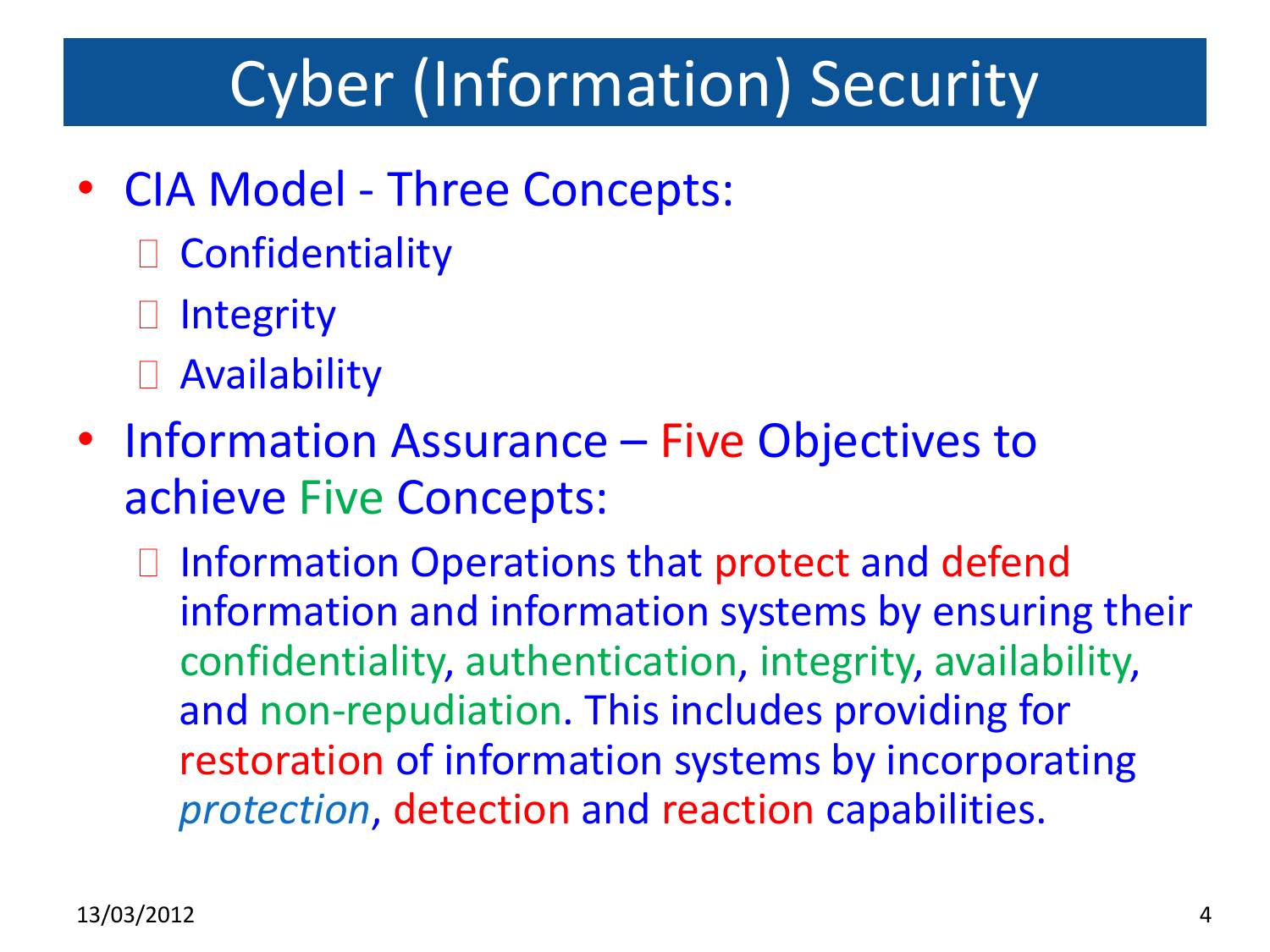# Cyber (Information) Security

- CIA Model Three Concepts:
	- Confidentiality
	- **□** Integrity
	- Availability
- Information Assurance Five Objectives to achieve Five Concepts:
	- □ Information Operations that protect and defend information and information systems by ensuring their confidentiality, authentication, integrity, availability, and non-repudiation. This includes providing for restoration of information systems by incorporating *protection*, detection and reaction capabilities.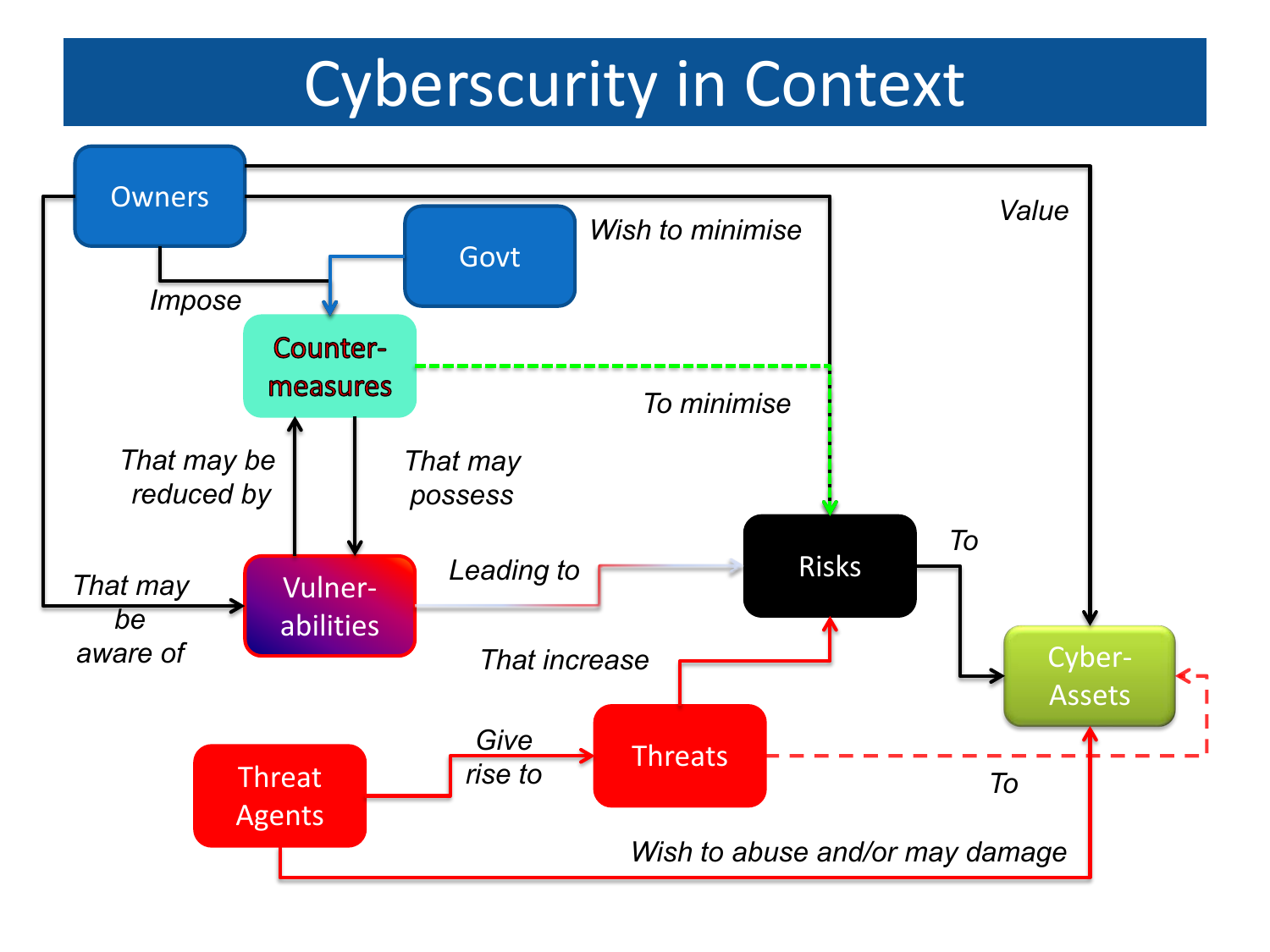# Cyberscurity in Context

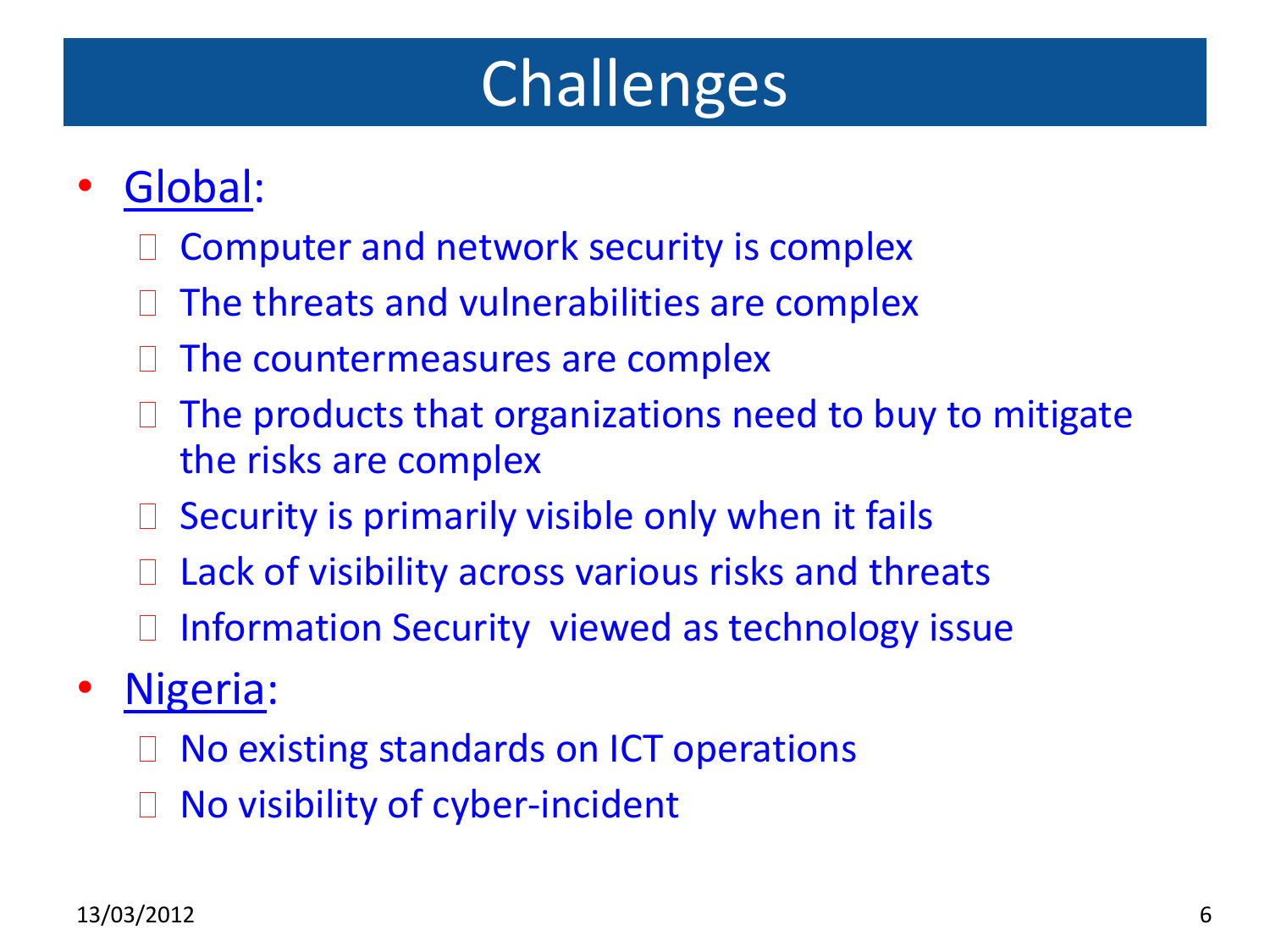# Challenges

#### • Global:

- Computer and network security is complex
- $\Box$  The threats and vulnerabilities are complex
- $\Box$  The countermeasures are complex
- $\Box$  The products that organizations need to buy to mitigate the risks are complex
- $\Box$  Security is primarily visible only when it fails
- $\Box$  Lack of visibility across various risks and threats
- Information Security viewed as technology issue
- Nigeria:
	- □ No existing standards on ICT operations
	- □ No visibility of cyber-incident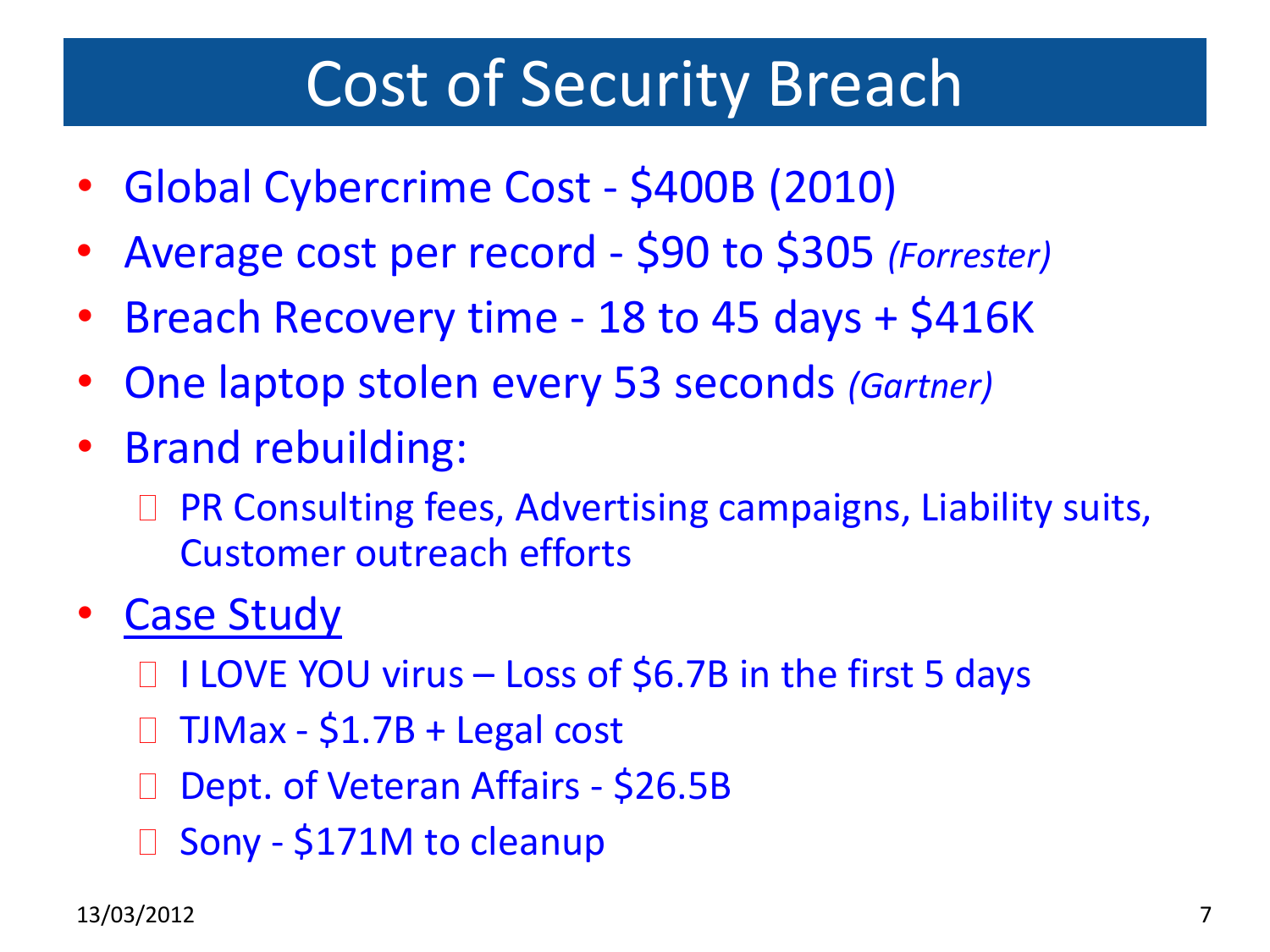#### Cost of Security Breach

- Global Cybercrime Cost \$400B (2010)
- Average cost per record \$90 to \$305 *(Forrester)*
- Breach Recovery time 18 to 45 days + \$416K
- One laptop stolen every 53 seconds *(Gartner)*
- Brand rebuilding:
	- □ PR Consulting fees, Advertising campaigns, Liability suits, Customer outreach efforts
- **Case Study** 
	- $\Box$  I LOVE YOU virus Loss of \$6.7B in the first 5 days
	- TJMax \$1.7B + Legal cost
	- □ Dept. of Veteran Affairs \$26.5B
	- □ Sony \$171M to cleanup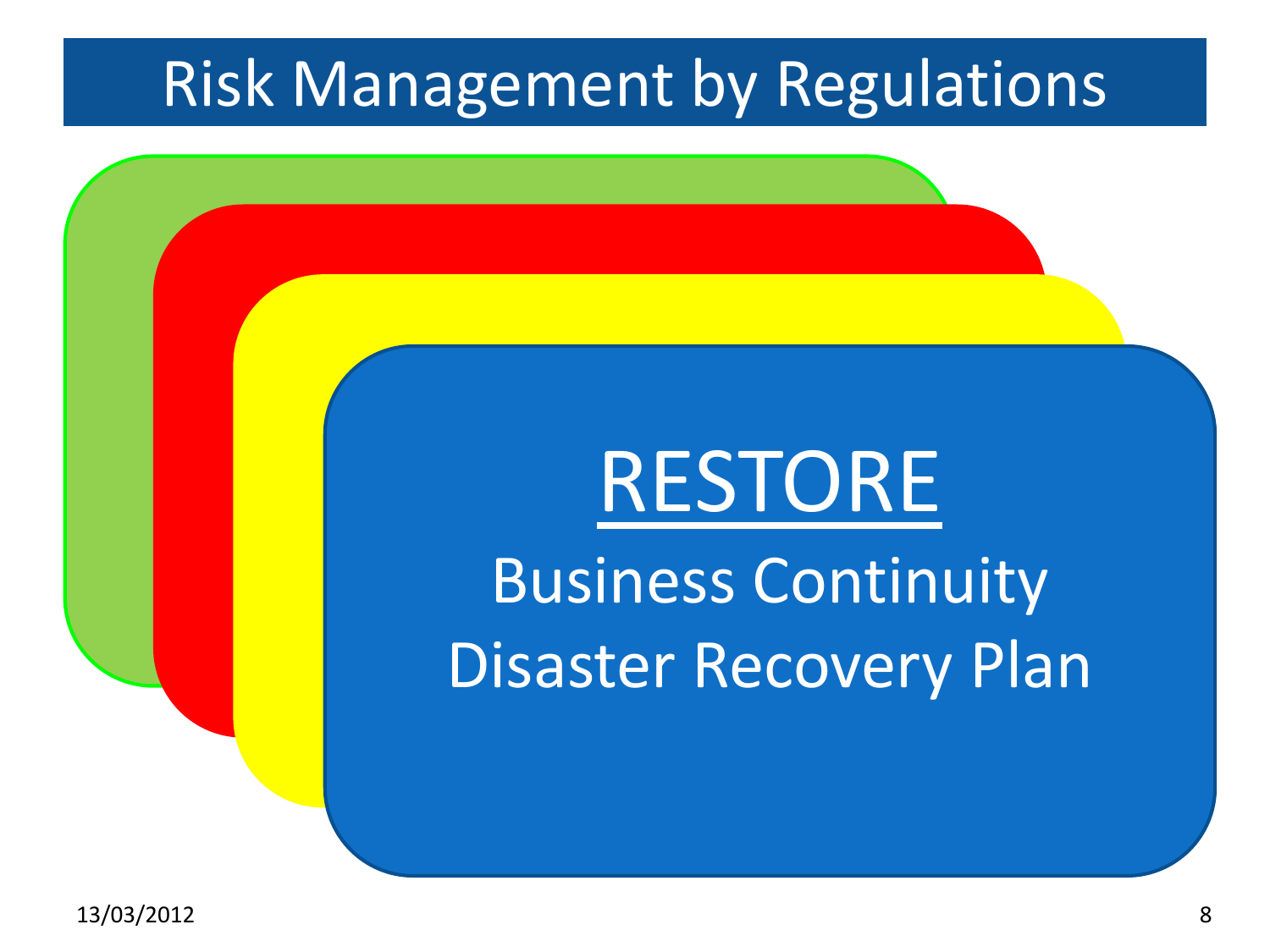## Risk Management by Regulations

DETECT

PROTECT

#### Encryption RES **Access** Control Business Cont  $R = 1$ <u>RESIUNE</u> **Inc. Business Continuity** aster Recc RESTORE Business Continuity Disaster Recovery Plan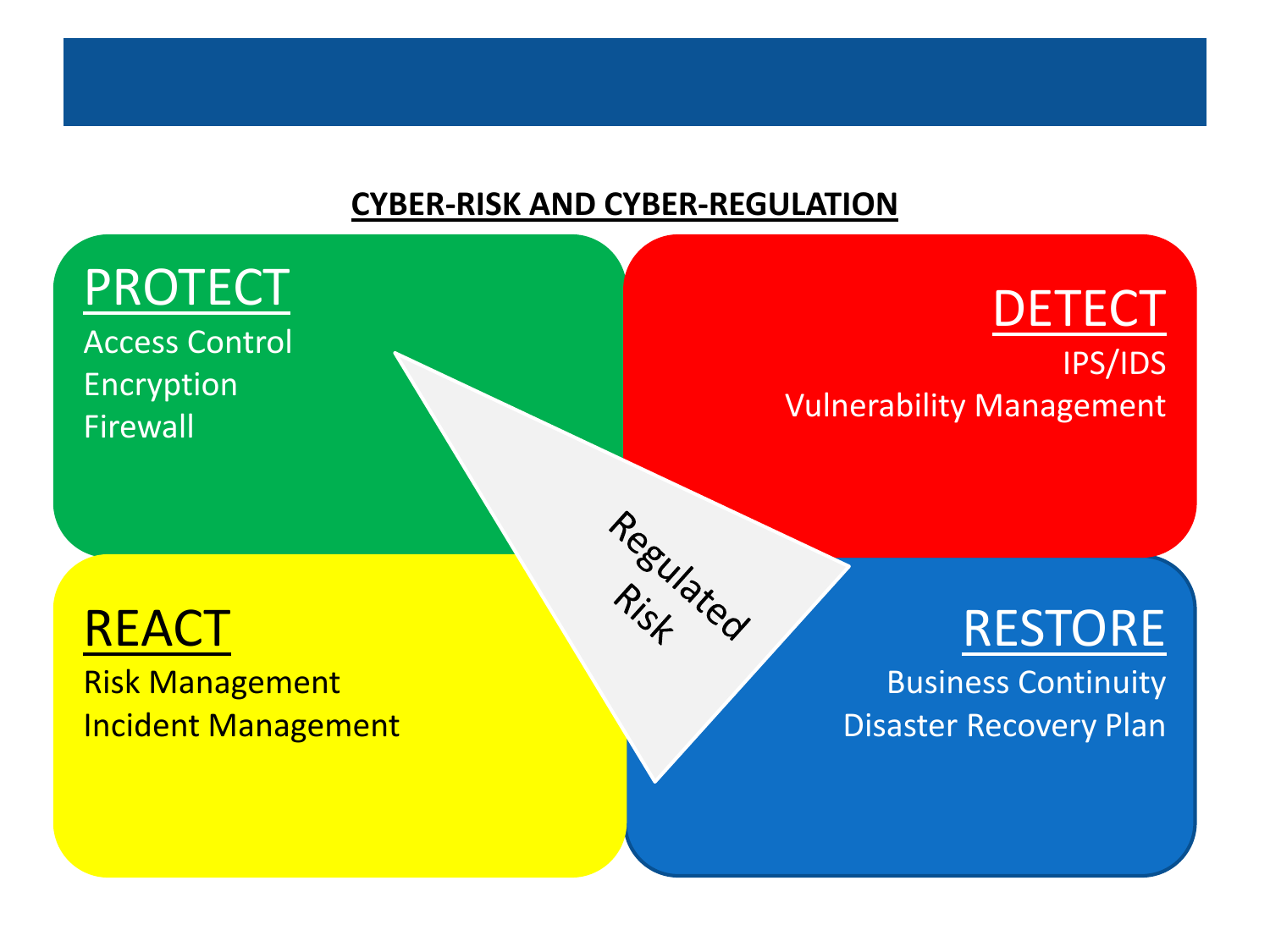#### **CYBER-RISK AND CYBER-REGULATION**

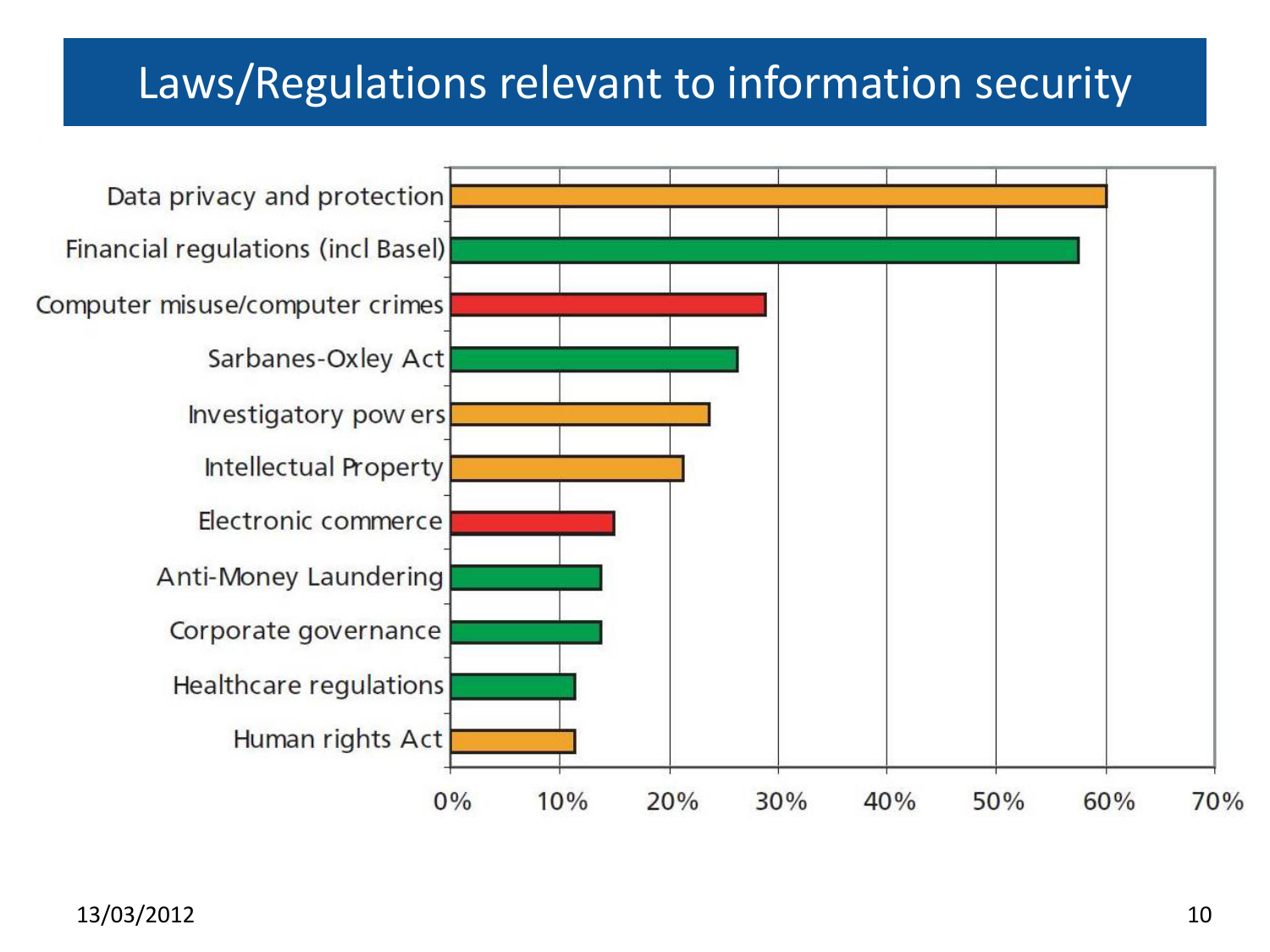#### Laws/Regulations relevant to information security

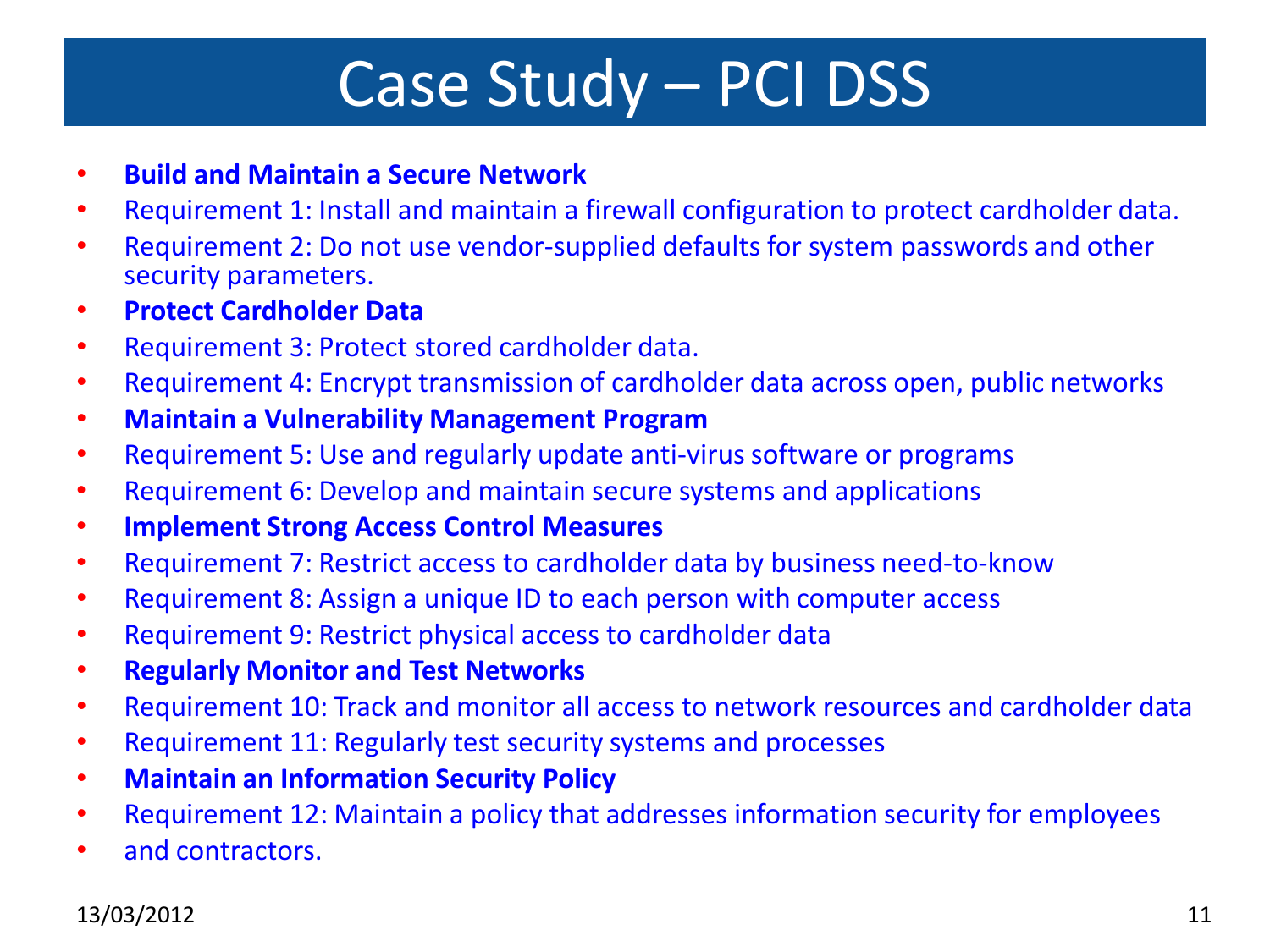## Case Study – PCI DSS

- **Build and Maintain a Secure Network**
- Requirement 1: Install and maintain a firewall configuration to protect cardholder data.
- Requirement 2: Do not use vendor-supplied defaults for system passwords and other security parameters.
- **Protect Cardholder Data**
- Requirement 3: Protect stored cardholder data.
- Requirement 4: Encrypt transmission of cardholder data across open, public networks
- **Maintain a Vulnerability Management Program**
- Requirement 5: Use and regularly update anti-virus software or programs
- Requirement 6: Develop and maintain secure systems and applications
- **Implement Strong Access Control Measures**
- Requirement 7: Restrict access to cardholder data by business need-to-know
- Requirement 8: Assign a unique ID to each person with computer access
- Requirement 9: Restrict physical access to cardholder data
- **Regularly Monitor and Test Networks**
- Requirement 10: Track and monitor all access to network resources and cardholder data
- Requirement 11: Regularly test security systems and processes
- **Maintain an Information Security Policy**
- Requirement 12: Maintain a policy that addresses information security for employees
- and contractors.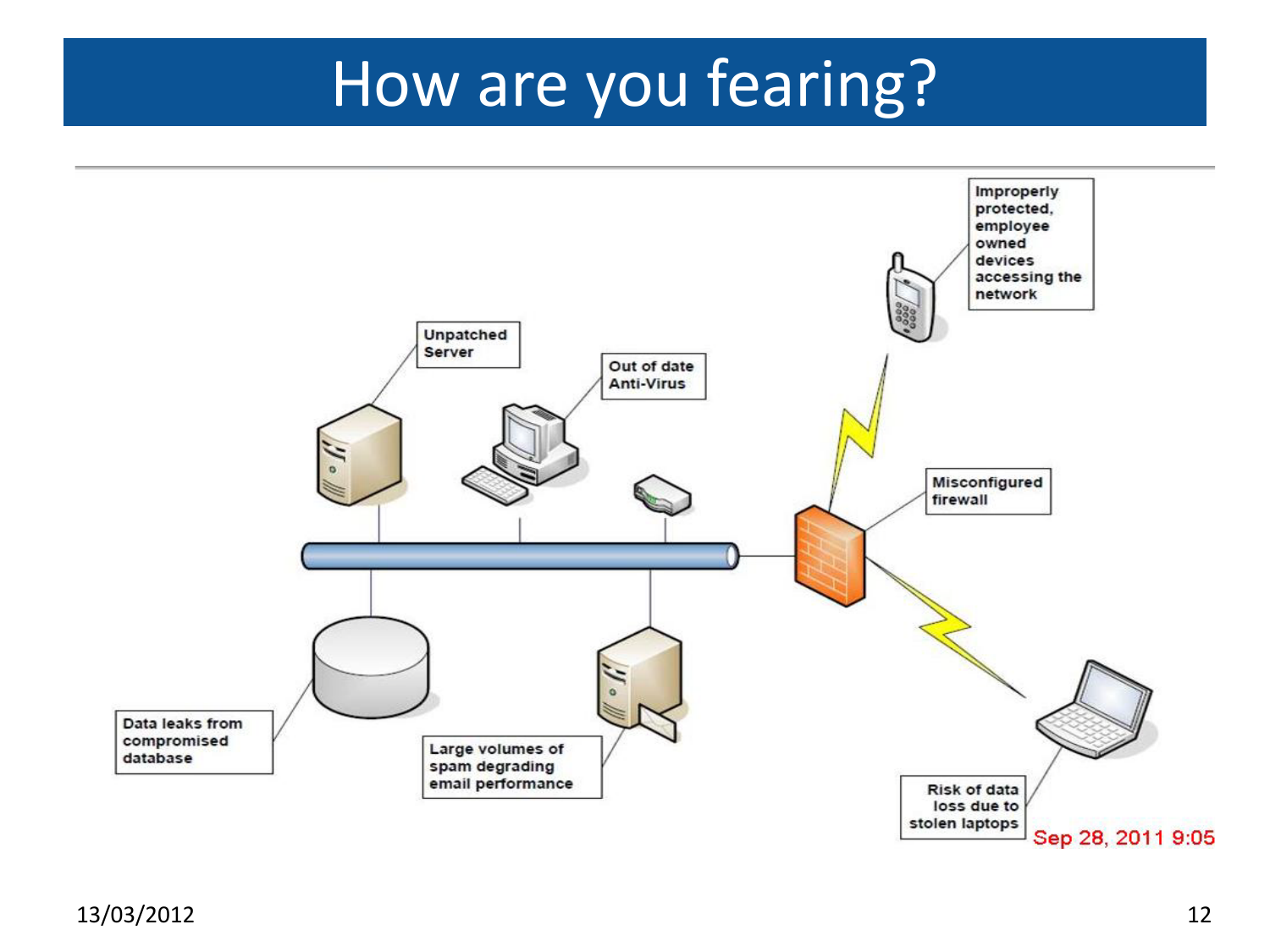# How are you fearing?

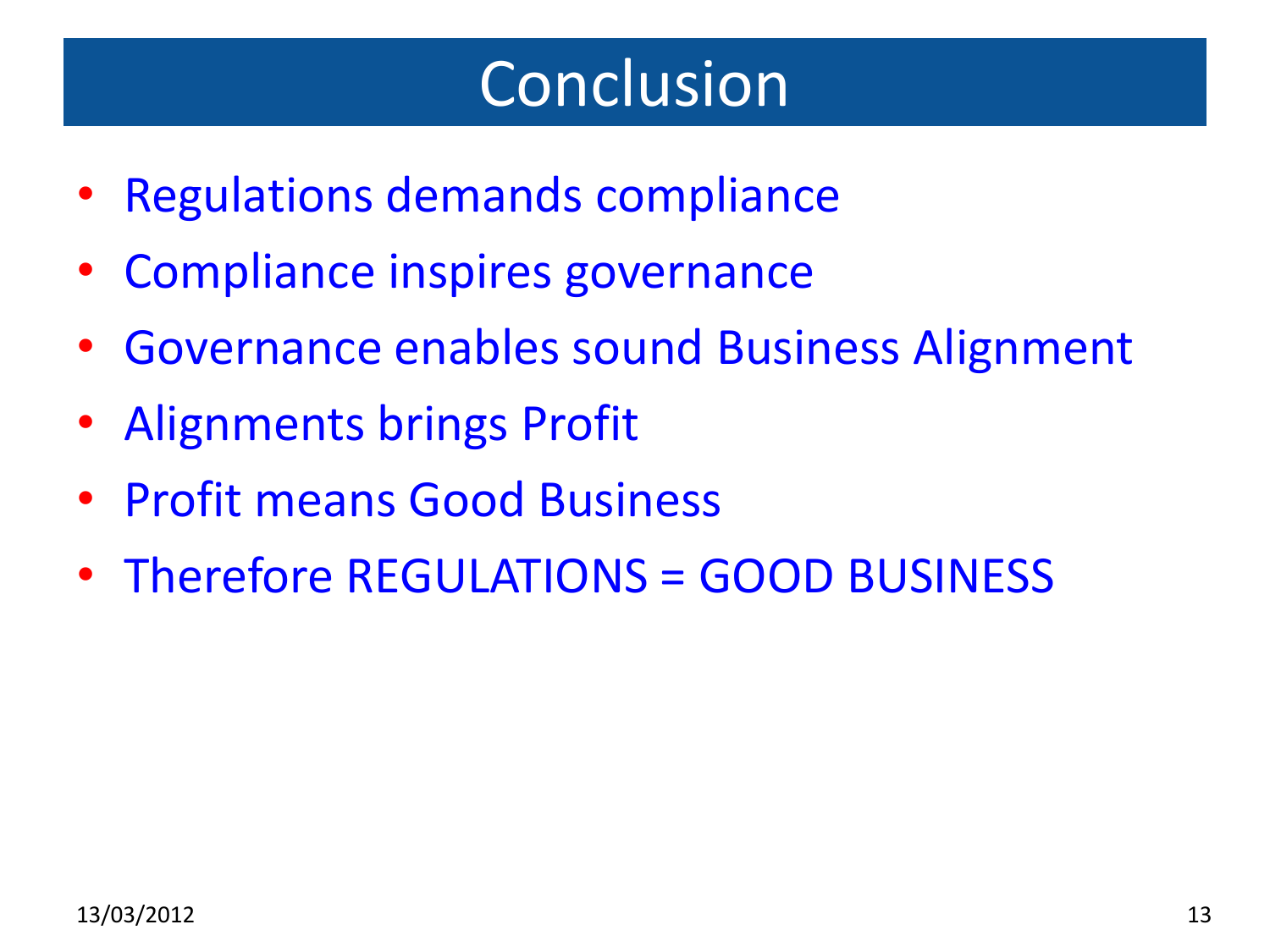## Conclusion

- Regulations demands compliance
- Compliance inspires governance
- Governance enables sound Business Alignment
- Alignments brings Profit
- Profit means Good Business
- Therefore REGULATIONS = GOOD BUSINESS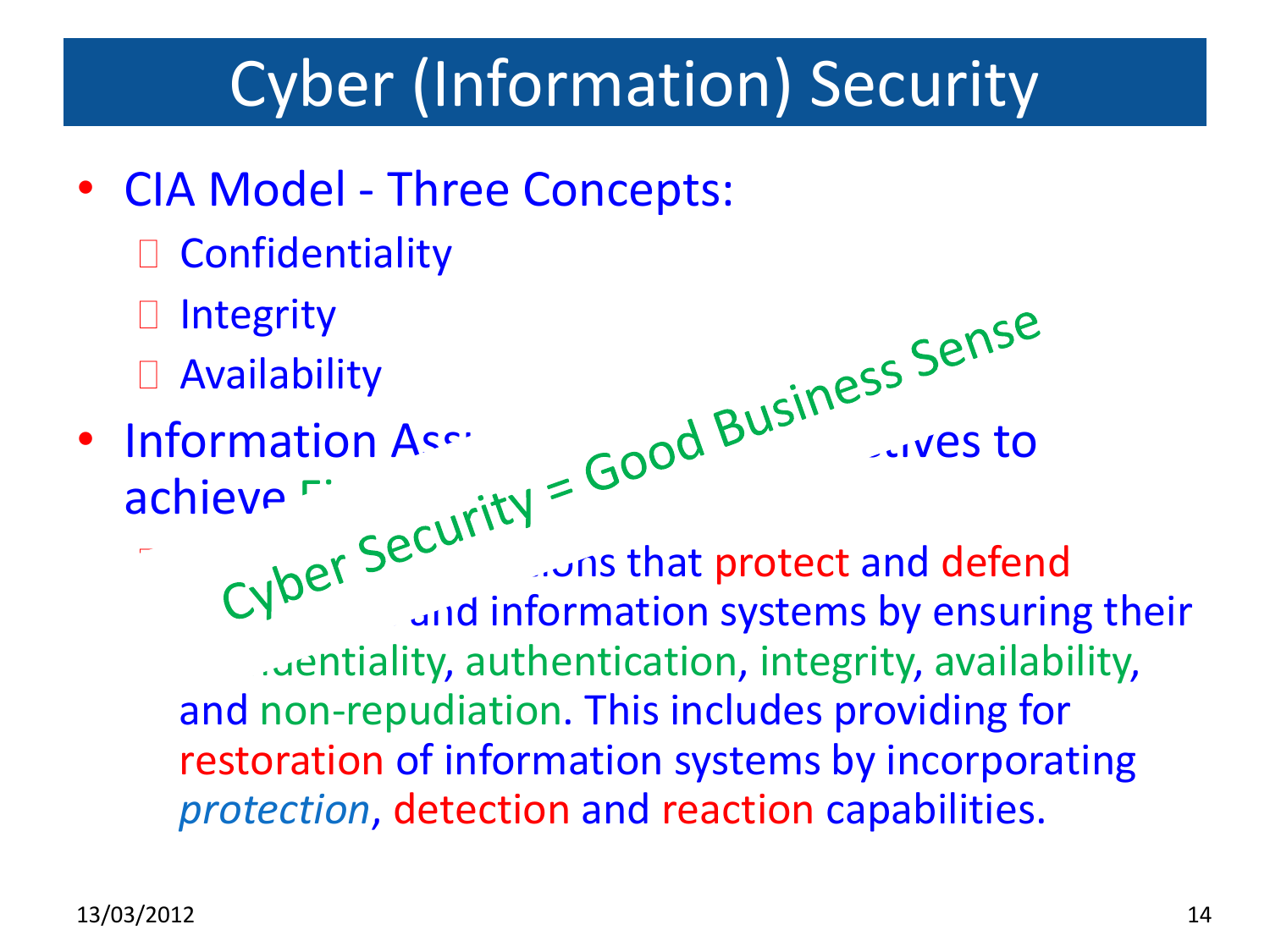# Cyber (Information) Security

- CIA Model Three Concepts:
	- Confidentiality
	- Integrity
	- Availability
- Information Assurance  $\epsilon_0$  and  $B^{U^{(1)}}$  arrow to achieve Figure Concepts: Information of Section Constitution of that protect and defend  $\mathbb{C}V^{\triangleright}$  and information systems by ensuring their contiality, authentication, integrity, availability, and non-repudiation. This includes providing for restoration of information systems by incorporating *protection*, detection and reaction capabilities.